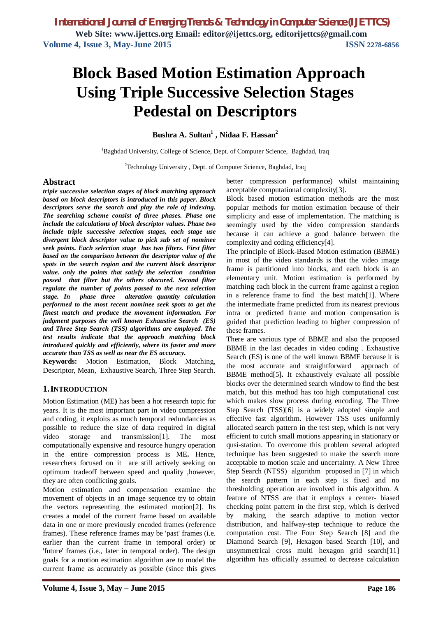# **Block Based Motion Estimation Approach Using Triple Successive Selection Stages Pedestal on Descriptors**

**Bushra A. Sultan<sup>1</sup> , Nidaa F. Hassan<sup>2</sup>**

<sup>1</sup>Baghdad University, College of Science, Dept. of Computer Science, Baghdad, Iraq

<sup>2</sup>Technology University , Dept. of Computer Science, Baghdad, Iraq

#### **Abstract**

*triple successive selection stages of block matching approach based on block descriptors is introduced in this paper. Block descriptors serve the search and play the role of indexing. The searching scheme consist of three phases. Phase one include the calculations of block descriptor values. Phase two include triple successive selection stages, each stage use divergent block descriptor value to pick sub set of nominee seek points***.** *Each selection stage has two filters. First filter based on the comparison between the descriptor value of the spots in the search region and the current block descriptor value. only the points that satisfy the selection condition passed that filter but the others obscured. Second filter regulate the number of points passed to the next selection stage. In phase three alteration quantity calculation performed to the most recent nominee seek spots to get the finest match and produce the movement information. For judgment purposes the well known Exhaustive Search (ES) and Three Step Search (TSS) algorithms are employed. The test results indicate that the approach matching block introduced quickly and efficiently, where its faster and more accurate than TSS as well as near the ES accuracy.* 

**Keywords:** Motion Estimation, Block Matching, Descriptor, Mean, Exhaustive Search, Three Step Search.

## **1.INTRODUCTION**

Motion Estimation (ME**)** has been a hot research topic for years. It is the most important part in video compression and coding, it exploits as much temporal redundancies as possible to reduce the size of data required in digital video storage and transmission[1]. The most computationally expensive and resource hungry operation in the entire compression process is ME**.** Hence, researchers focused on it are still actively seeking on optimum tradeoff between speed and quality ,however, they are often conflicting goals.

Motion estimation and compensation examine the movement of objects in an image sequence try to obtain the vectors representing the estimated motion[2]. Its creates a model of the current frame based on available data in one or more previously encoded frames (reference frames). These reference frames may be 'past' frames (i.e. earlier than the current frame in temporal order) or 'future' frames (i.e., later in temporal order). The design goals for a motion estimation algorithm are to model the current frame as accurately as possible (since this gives better compression performance) whilst maintaining acceptable computational complexity[3].

Block based motion estimation methods are the most popular methods for motion estimation because of their simplicity and ease of implementation. The matching is seemingly used by the video compression standards because it can achieve a good balance between the complexity and coding efficiency[4].

The principle of Block-Based Motion estimation (BBME) in most of the video standards is that the video image frame is partitioned into blocks, and each block is an elementary unit. Motion estimation is performed by matching each block in the current frame against a region in a reference frame to find the best match[1]. Where the intermediate frame predicted from its nearest previous intra or predicted frame and motion compensation is guided that prediction leading to higher compression of these frames.

There are various type of BBME and also the proposed BBME in the last decades in video coding . Exhaustive Search (ES) is one of the well known BBME because it is the most accurate and straightforward approach of BBME method[5]**.** It exhaustively evaluate all possible blocks over the determined search window to find the best match, but this method has too high computational cost which makes slow process during encoding. The Three Step Search (TSS)[6] is a widely adopted simple and effective fast algorithm. However TSS uses uniformly allocated search pattern in the test step, which is not very efficient to cutch small motions appearing in stationary or qusi-station. To overcome this problem several adopted technique has been suggested to make the search more acceptable to motion scale and uncertainty. A New Three Step Search (NTSS) algorithm proposed in [7] in which the search pattern in each step is fixed and no thresholding operation are involved in this algorithm. A feature of NTSS are that it employs a center- biased checking point pattern in the first step, which is derived by making the search adaptive to motion vector distribution, and halfway-step technique to reduce the computation cost. The Four Step Search [8] and the Diamond Search [9], Hexagon based Search [10], and unsymmetrical cross multi hexagon grid search[11] algorithm has officially assumed to decrease calculation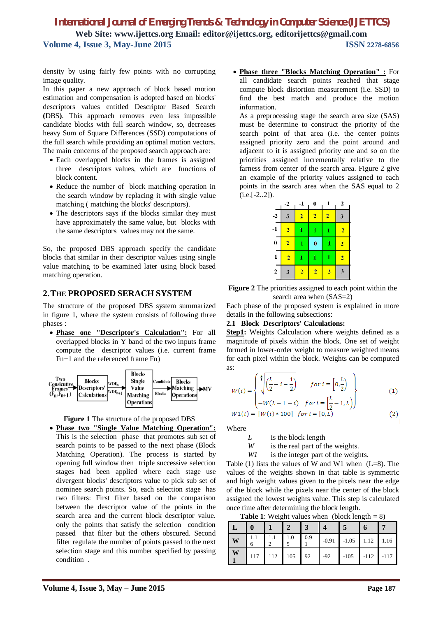density by using fairly few points with no corrupting image quality.

In this paper a new approach of block based motion estimation and compensation is adopted based on blocks' descriptors values entitled Descriptor Based Search **(**DBS**)**. This approach removes even less impossible candidate blocks with full search window, so, decreases heavy Sum of Square Differences (SSD) computations of the full search while providing an optimal motion vectors. The main concerns of the proposed search approach are:

- Each overlapped blocks in the frames is assigned three descriptors values, which are functions of block content.
- Reduce the number of block matching operation in the search window by replacing it with single value matching ( matching the blocks' descriptors).
- The descriptors says if the blocks similar they must have approximately the same value, but blocks with the same descriptors values may not the same.

So, the proposed DBS approach specify the candidate blocks that similar in their descriptor values using single value matching to be examined later using block based matching operation.

## **2.THE PROPOSED SERACH SYSTEM**

The structure of the proposed DBS system summarized in figure 1, where the system consists of following three phases :

 **Phase one "Descriptor's Calculation":** For all overlapped blocks in Y band of the two inputs frame compute the descriptor values (i.e. current frame Fn+1 and the referenced frame Fn)





 **Phase two "Single Value Matching Operation":** This is the selection phase that promotes sub set of search points to be passed to the next phase (Block Matching Operation). The process is started by opening full window then triple successive selection stages had been applied where each stage use divergent blocks' descriptors value to pick sub set of nominee search points. So, each selection stage has two filters: First filter based on the comparison between the descriptor value of the points in the search area and the current block descriptor value. only the points that satisfy the selection condition passed that filter but the others obscured. Second filter regulate the number of points passed to the next selection stage and this number specified by passing condition .

 **Phase three "Blocks Matching Operation" :** For all candidate search points reached that stage compute block distortion measurement (i.e. SSD) to find the best match and produce the motion information.

As a preprocessing stage the search area size (SAS) must be determine to construct the priority of the search point of that area (i.e. the center points assigned priority zero and the point around and adjacent to it is assigned priority one and so on the priorities assigned incrementally relative to the farness from center of the search area. Figure 2 give an example of the priority values assigned to each points in the search area when the SAS equal to 2  $(i.e.[-2..2]).$ 

| $-2$           | -1             | 0              | 1              | $\overline{2}$ |
|----------------|----------------|----------------|----------------|----------------|
| 3              | $\overline{2}$ | $\overline{2}$ | $\overline{2}$ | 3              |
| $\overline{2}$ | 1              | 1              | 1              | $\overline{2}$ |
| $\overline{2}$ | 1              | $\bf{0}$       | 1              | $\overline{2}$ |
| $\overline{2}$ | 1              | 1              | 1              | $\overline{2}$ |
| 3              | $\overline{2}$ | $\overline{2}$ | $\overline{2}$ | 3              |
|                |                |                |                |                |

**Figure 2** The priorities assigned to each point within the search area when (SAS=2)

Each phase of the proposed system is explained in more details in the following subsections:

#### **2.1 Block Descriptors' Calculations:**

**Step1:** Weights Calculation where weights defined as a magnitude of pixels within the block. One set of weight formed in lower-order weight to measure weighted means for each pixel within the block. Weights can be computed as:

$$
W(i) = \begin{cases} \frac{1}{8} \left( \frac{L}{2} - i - \frac{1}{2} \right) & \text{for } i = \left[ 0, \frac{L}{2} \right) \\ -W(L - 1 - i) & \text{for } i = \left[ \frac{L}{2} - 1, L \right) \end{cases}
$$
(1)  

$$
W1(i) = [W(i) * 100] \text{ for } i = [0, L)
$$
(2)

Where

- *L* is the block length
- *W* is the real part of the weights.
- *W1* is the integer part of the weights.

Table (1) lists the values of W and W1 when  $(L=8)$ . The values of the weights shown in that table is symmetric and high weight values given to the pixels near the edge of the block while the pixels near the center of the block assigned the lowest weights value. This step is calculated once time after determining the block length.

**Table 1:** Weight values when (block length  $= 8$ )

| Ŵ | 6   | 1.0          | 0.9 |       | $-0.91$ $-1.05$ $1.12$ $1.16$ |               |  |
|---|-----|--------------|-----|-------|-------------------------------|---------------|--|
| W | 117 | $112$ 105 92 |     | $-92$ | $-105$                        | $-112$ $-117$ |  |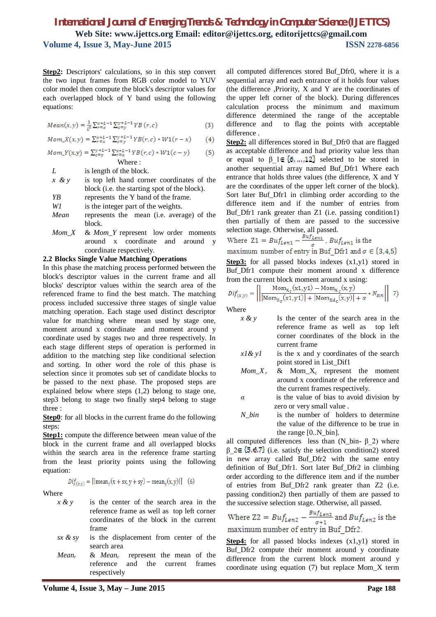**Step2:** Descriptors' calculations, so in this step convert the two input frames from RGB color model to YUV color model then compute the block's descriptor values for each overlapped block of Y band using the following equations:

$$
Mean(x, y) = \frac{1}{t^2} \sum_{r=x}^{x+L-1} \sum_{c=y}^{y+L-1} YB(r, c)
$$
 (3)

$$
Mom_X(x, y) = \sum_{r=x}^{x+L-1} \sum_{c=y}^{y+L-1} YB(r, c) * W1(r-x)
$$
 (4)

$$
Mom_Y(x,y) = \sum_{c=y}^{y+L-1} \sum_{r=x}^{x+L-1} YB(r,c) * W1(c-y)
$$
 (5)  
Where :

*L* is length of the block.

- *x & y* is top left hand corner coordinates of the block (i.e. the starting spot of the block). *YB* represents the Y band of the frame. *W1* is the integer part of the weights. *Mean* represents the mean (i.e. average) of the
- block.
- *Mom\_X* & *Mom\_Y* represent low order moments around x coordinate and around y coordinate respectively.

#### **2.2 Blocks Single Value Matching Operations**

In this phase the matching process performed between the block's descriptor values in the current frame and all blocks' descriptor values within the search area of the referenced frame to find the best match. The matching process included successive three stages of single value matching operation. Each stage used distinct descriptor value for matching where mean used by stage one, moment around x coordinate and moment around y coordinate used by stages two and three respectively. In each stage different steps of operation is performed in addition to the matching step like conditional selection and sorting. In other word the role of this phase is selection since it promotes sub set of candidate blocks to be passed to the next phase. The proposed steps are explained below where steps (1,2) belong to stage one, step3 belong to stage two finally step4 belong to stage three :

**Step0**: for all blocks in the current frame do the following steps:

**Step1:** compute the difference between mean value of the block in the current frame and all overlapped blocks within the search area in the reference frame starting from the least priority points using the following equation:

$$
Dif_{(x,y)} = [|mean_r(x + sx, y + sy) - mean_c(x,y)|] \quad (6)
$$

Where

- *x & y* is the center of the search area in the reference frame as well as top left corner coordinates of the block in the current frame
- *sx & sy* is the displacement from center of the search area
- *Mean<sup>r</sup>* & *Mean<sup>c</sup>* represent the mean of the reference and the current frames respectively

all computed differences stored Buf\_Dfr0, where it is a sequential array and each entrance of it holds four values (the difference ,Priority, X and Y are the coordinates of the upper left corner of the block). During differences calculation process the minimum and maximum difference determined the range of the acceptable difference and to flag the points with acceptable difference .

**Step2:** all differences stored in Buf\_Dfr0 that are flagged as acceptable difference and had priority value less than or equal to  $\beta$  1 selected to be stored in another sequential array named Buf\_Dfr1 Where each entrance that holds three values (the difference, X and Y are the coordinates of the upper left corner of the block). Sort later Buf\_Dfr1 in climbing order according to the difference item and if the number of entries from Buf\_Dfr1 rank greater than Z1 (i.e. passing condition1) then partially of them are passed to the successive selection stage. Otherwise, all passed.

Where 
$$
Z1 = Buf_{Len1} - \frac{Buf_{Len1}}{\sigma}
$$
,  $Buf_{Len1}$  is the maximum number of entry in But  $Dfr1$  and  $\sigma \in \{3, 4, 5\}$ 

**Step3:** for all passed blocks indexes  $(x1,y1)$  stored in Buf Dfr1 compute their moment around x difference from the current block moment around x using:

$$
Dif_{(x,y)} = \left[ \left| \frac{\text{Mom}_{X_{r}}(x1, y1) - \text{Mom}_{X_{c}}(x, y)}{\left| \text{Mom}_{X_{r}}(x1, y1) \right| + \left| \text{Mom}_{X_{d}}(x, y) \right| + \alpha} * N_{bin} \right| \right] \text{ 7}
$$

Where

- *x & y* Is the center of the search area in the reference frame as well as top left corner coordinates of the block in the current frame
- *x1& y1* is the x and y coordinates of the search point stored in List\_Dif1
- $Mom_X r$  &  $Mom_X c$  represent the moment around x coordinate of the reference and the current frames respectively.
- *α* is the value of bias to avoid division by zero or very small value .
- *N* bin is the number of holders to determine the value of the difference to be true in the range [0..N\_bin].

all computed differences less than  $(N_b$ in- β 2) where  $β$  2  $\in$  {5,6,7} (i.e. satisfy the selection condition2) stored in new array called Buf\_Dfr2 with the same entry definition of Buf\_Dfr1. Sort later Buf\_Dfr2 in climbing order according to the difference item and if the number of entries from Buf\_Dfr2 rank greater than Z2 (i.e. passing condition2) then partially of them are passed to the successive selection stage. Otherwise, all passed.

Where 
$$
Z2 = Bu f_{Len2} - \frac{Bu f_{Len2}}{\sigma + 1}
$$
 and  $Bu f_{Len2}$  is the maximum number of entry in But Dfr2.

**Step4:** for all passed blocks indexes  $(x1,y1)$  stored in Buf\_Dfr2 compute their moment around y coordinate difference from the current block moment around y coordinate using equation (7) but replace Mom\_X term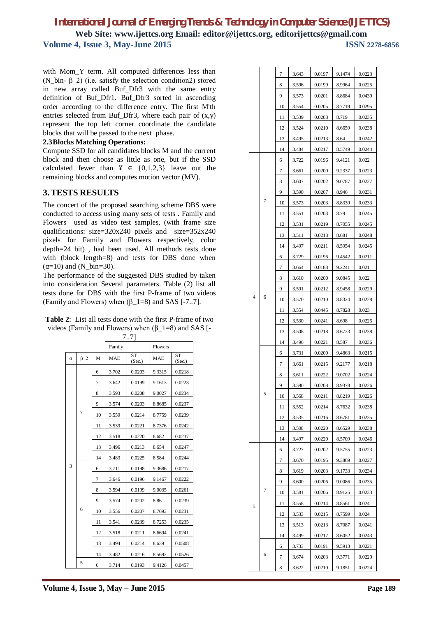with Mom Y term. All computed differences less than (N\_bin- $\beta$ \_2) (i.e. satisfy the selection condition2) stored in new array called Buf\_Dfr3 with the same entry definition of Buf\_Dfr1. Buf\_Dfr3 sorted in ascending order according to the difference entry. The first M'th entries selected from Buf\_Dfr3, where each pair of (x,y) represent the top left corner coordinate the candidate blocks that will be passed to the next phase.

#### **2.3Blocks Matching Operations:**

Compute SSD for all candidates blocks M and the current block and then choose as little as one, but if the SSD calculated fewer than  $\yen \in \{0,1,2,3\}$  leave out the remaining blocks and computes motion vector (MV).

## **3.TESTS RESULTS**

The concert of the proposed searching scheme DBS were conducted to access using many sets of tests . Family and Flowers used as video test samples, (with frame size qualifications: size=320x240 pixels and size=352x240 pixels for Family and Flowers respectively, color depth=24 bit) , had been used. All methods tests done with (block length=8) and tests for DBS done when  $(\alpha=10)$  and  $(N_bin=30)$ .

The performance of the suggested DBS studied by taken into consideration Several parameters. Table (2) list all tests done for DBS with the first P-frame of two videos (Family and Flowers) when  $(\beta_1 = 8)$  and SAS [-7..7].

| <b>Table 2:</b> List all tests done with the first P-frame of two |
|-------------------------------------------------------------------|
| videos (Family and Flowers) when $(\beta_1 = 8)$ and SAS [-       |
|                                                                   |

| 7.71     |                |    |            |                     |                |                     |  |
|----------|----------------|----|------------|---------------------|----------------|---------------------|--|
|          |                |    | Family     |                     | <b>Flowers</b> |                     |  |
| $\sigma$ | $\beta$ 2      | M  | <b>MAE</b> | <b>ST</b><br>(Sec.) | <b>MAE</b>     | <b>ST</b><br>(Sec.) |  |
|          |                | 6  | 3.702      | 0.0203              | 9.3315         | 0.0218              |  |
|          |                | 7  | 3.642      | 0.0199              | 9.1613         | 0.0223              |  |
|          |                | 8  | 3.593      | 0.0208              | 9.0027         | 0.0234              |  |
|          |                | 9  | 3.574      | 0.0203              | 8.8685         | 0.0237              |  |
|          | $\overline{7}$ | 10 | 3.559      | 0.0214              | 8.7759         | 0.0239              |  |
|          |                | 11 | 3.539      | 0.0221              | 8.7376         | 0.0242              |  |
|          |                | 12 | 3.518      | 0.0220              | 8.682          | 0.0237              |  |
|          |                | 13 | 3.496      | 0.0213              | 8.654          | 0.0247              |  |
|          |                | 14 | 3.483      | 0.0225              | 8.584          | 0.0244              |  |
| 3        | 6              | 6  | 3.711      | 0.0198              | 9.3686         | 0.0217              |  |
|          |                | 7  | 3.646      | 0.0196              | 9.1467         | 0.0222              |  |
|          |                | 8  | 3.594      | 0.0199              | 9.0035         | 0.0261              |  |
|          |                | 9  | 3.574      | 0.0202              | 8.86           | 0.0239              |  |
|          |                | 10 | 3.556      | 0.0207              | 8.7693         | 0.0231              |  |
|          |                | 11 | 3.541      | 0.0239              | 8.7253         | 0.0235              |  |
|          |                | 12 | 3.518      | 0.0211              | 8.6694         | 0.0241              |  |
|          |                | 13 | 3.494      | 0.0214              | 8.639          | 0.0508              |  |
|          |                | 14 | 3.482      | 0.0216              | 8.5692         | 0.0526              |  |
|          | 5              | 6  | 3.714      | 0.0193              | 9.4126         | 0.0457              |  |

|   |   | 7  | 3.643 | 0.0197 | 9.1474 | 0.0223 |
|---|---|----|-------|--------|--------|--------|
|   |   |    | 3.596 | 0.0199 | 8.9964 | 0.0225 |
|   |   | 9  | 3.573 | 0.0201 | 8.8684 | 0.0439 |
|   |   | 10 | 3.554 | 0.0205 | 8.7719 | 0.0295 |
|   |   | 11 | 3.539 | 0.0208 | 8.719  | 0.0235 |
|   |   | 12 | 3.524 | 0.0210 | 8.6659 | 0.0238 |
|   |   | 13 | 3.495 | 0.0213 | 8.64   | 0.0242 |
|   |   | 14 | 3.484 | 0.0217 | 8.5749 | 0.0244 |
|   |   | 6  | 3.722 | 0.0196 | 9.4121 | 0.022  |
|   |   | 7  | 3.661 | 0.0200 | 9.2337 | 0.0223 |
|   |   | 8  | 3.607 | 0.0202 | 9.0787 | 0.0227 |
|   |   | 9  | 3.590 | 0.0207 | 8.946  | 0.0231 |
|   | 7 | 10 | 3.573 | 0.0203 | 8.8339 | 0.0233 |
|   |   | 11 | 3.551 | 0.0203 | 8.79   | 0.0245 |
|   |   | 12 | 3.531 | 0.0219 | 8.7055 | 0.0245 |
|   |   | 13 | 3.511 | 0.0218 | 8.681  | 0.0248 |
|   |   | 14 | 3.497 | 0.0211 | 8.5954 | 0.0245 |
|   |   | 6  | 3.729 | 0.0196 | 9.4542 | 0.0211 |
|   |   | 7  | 3.664 | 0.0188 | 9.2241 | 0.021  |
|   |   | 8  | 3.610 | 0.0200 | 9.0845 | 0.022  |
|   |   | 9  | 3.591 | 0.0212 | 8.9458 | 0.0229 |
| 4 | 6 | 10 | 3.570 | 0.0210 | 8.8324 | 0.0228 |
|   |   | 11 | 3.554 | 0.0445 | 8.7828 | 0.023  |
|   |   | 12 | 3.530 | 0.0241 | 8.698  | 0.0225 |
|   |   | 13 | 3.508 | 0.0218 | 8.6723 | 0.0238 |
|   |   | 14 | 3.496 | 0.0221 | 8.587  | 0.0236 |
|   |   | 6  | 3.731 | 0.0200 | 9.4863 | 0.0215 |
|   |   | 7  | 3.661 | 0.0215 | 9.2177 | 0.0218 |
|   |   | 8  | 3.611 | 0.0222 | 9.0702 | 0.0224 |
|   |   | 9  | 3.590 | 0.0208 | 8.9378 | 0.0226 |
|   |   | 10 | 3.568 | 0.0211 | 8.8219 | 0.0226 |
|   |   | 11 | 3.552 | 0.0214 | 8.7632 | 0.0238 |
|   |   | 12 | 3.535 | 0.0216 | 8.6781 | 0.0235 |
|   |   | 13 | 3.508 | 0.0220 | 8.6529 | 0.0238 |
|   |   | 14 | 3.497 | 0.0220 | 8.5709 | 0.0246 |
|   |   | 6  | 3.727 | 0.0202 | 9.5755 | 0.0223 |
|   |   | 7  | 3.670 | 0.0195 | 9.3869 | 0.0227 |
|   |   | 8  | 3.619 | 0.0203 | 9.1733 | 0.0234 |
|   |   | 9  | 3.600 | 0.0206 | 9.0086 | 0.0235 |
|   | 7 | 10 | 3.581 | 0.0206 | 8.9125 | 0.0233 |
| 5 |   | 11 | 3.558 | 0.0214 | 8.8561 | 0.024  |
|   |   | 12 | 3.533 | 0.0215 | 8.7599 | 0.024  |
|   |   | 13 | 3.513 | 0.0213 | 8.7087 | 0.0241 |
|   |   | 14 | 3.499 | 0.0217 | 8.6052 | 0.0243 |
|   |   | 6  | 3.733 | 0.0191 | 9.5913 | 0.0221 |
|   | 6 | 7  | 3.674 | 0.0203 | 9.3771 | 0.0229 |
|   |   | 8  | 3.622 | 0.0210 | 9.1851 | 0.0224 |

 $\overline{1}$ 

 $\overline{1}$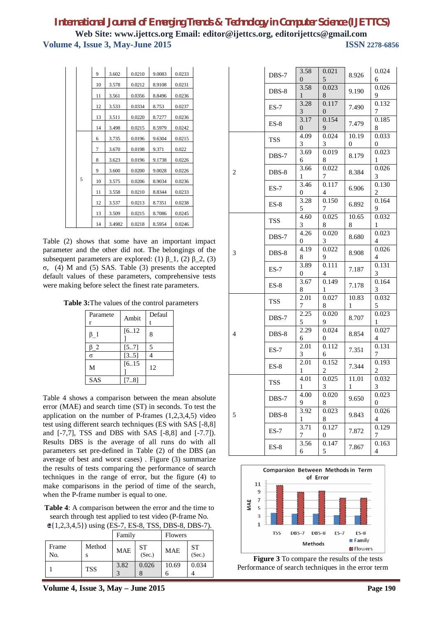|  |   | 9  | 3.602  | 0.0210 | 9.0083 | 0.0233 |
|--|---|----|--------|--------|--------|--------|
|  |   | 10 | 3.578  | 0.0212 | 8.9108 | 0.0231 |
|  |   | 11 | 3.561  | 0.0356 | 8.8496 | 0.0236 |
|  |   | 12 | 3.533  | 0.0334 | 8.753  | 0.0237 |
|  |   | 13 | 3.511  | 0.0220 | 8.7277 | 0.0236 |
|  |   |    |        |        |        |        |
|  |   | 14 | 3.498  | 0.0215 | 8.5979 | 0.0242 |
|  |   | 6  | 3.735  | 0.0196 | 9.6304 | 0.0215 |
|  |   | 7  | 3.670  | 0.0198 | 9.371  | 0.022  |
|  |   | 8  | 3.623  | 0.0196 | 9.1738 | 0.0226 |
|  |   | 9  | 3.600  | 0.0200 | 9.0028 | 0.0226 |
|  | 5 | 10 | 3.575  | 0.0206 | 8.9034 | 0.0236 |
|  |   | 11 | 3.558  | 0.0210 | 8.8344 | 0.0233 |
|  |   | 12 | 3.537  | 0.0213 | 8.7351 | 0.0238 |
|  |   | 13 | 3.509  | 0.0215 | 8.7086 | 0.0245 |
|  |   | 14 | 3.4982 | 0.0218 | 8.5954 | 0.0246 |

Table (2) shows that some have an important impact parameter and the other did not. The belongings of the subsequent parameters are explored: (1)  $\beta$  1, (2)  $\beta$  2, (3) σ, (4) M and (5) SAS. Table (3) presents the accepted default values of these parameters, comprehensive tests were making before select the finest rate parameters.

**Table 3:**The values of the control parameters

| Paramete<br>r | Ambit | Defaul<br>t |
|---------------|-------|-------------|
| β1            | [612] | 8           |
| $\beta$ 2     | [57]  | 5           |
| $\sigma$      | [35]  | 4           |
| M             | [615] | 12          |
| <b>SAS</b>    | [78]  |             |

Table 4 shows a comparison between the mean absolute error (MAE) and search time (ST) in seconds. To test the application on the number of P-frames (1,2,3,4,5) video test using different search techniques (ES with SAS [-8,8] and [-7,7], TSS and DBS with SAS [-8,8] and [-7.7]). Results DBS is the average of all runs do with all parameters set pre-defined in Table (2) of the DBS (an average of best and worst cases) . Figure (3) summarize the results of tests comparing the performance of search techniques in the range of error, but the figure (4) to make comparisons in the period of time of the search, when the P-frame number is equal to one.

**Table 4**: A comparison between the error and the time to search through test applied to test video (P-frame No.  $(1,2,3,4,5)$  using (ES-7, ES-8, TSS, DBS-8, DBS-7).

| $\in \{1, 2, 3, 4, 5\}$ ) using (ES-7, ES-8, 1SS, DBS-8, DBS-7). |            |            |                     |                |              |  |  |
|------------------------------------------------------------------|------------|------------|---------------------|----------------|--------------|--|--|
|                                                                  |            | Family     |                     | <b>Flowers</b> |              |  |  |
| Frame<br>No.                                                     | Method     | <b>MAE</b> | <b>ST</b><br>(Sec.) | <b>MAE</b>     | ST<br>(Sec.) |  |  |
|                                                                  | <b>TSS</b> | 3.82       | 0.026               | 10.69          | 0.034        |  |  |

**Volume 4, Issue 3, May – June 2015 Page 190**

|                | DBS-7      | 3.58<br>0              | 0.021<br>5                       | 8.926                 | 0.024<br>6                |
|----------------|------------|------------------------|----------------------------------|-----------------------|---------------------------|
|                | DBS-8      | 3.58                   | 0.023                            | 9.190                 | 0.026                     |
|                | $ES-7$     | $\mathbf{1}$<br>3.28   | 8<br>0.117                       | 7.490                 | 9<br>0.132                |
|                |            | 3<br>3.17              | $\overline{0}$<br>0.154          |                       | 7<br>0.185                |
|                | $ES-8$     | $\overline{0}$<br>4.09 | 9<br>0.024                       | 7.479<br>10.19        | 8<br>0.033                |
|                | <b>TSS</b> | 3                      | 3                                | $\overline{0}$        | $\overline{0}$            |
|                | DBS-7      | 3.69<br>6              | 0.019<br>8                       | 8.179                 | 0.023<br>$\mathbf{1}$     |
| 2              | DBS-8      | 3.66<br>1              | 0.022<br>7                       | 8.384                 | 0.026<br>3                |
|                | $ES-7$     | 3.46<br>0              | 0.117<br>4                       | 6.906                 | 0.130<br>$\overline{c}$   |
|                | $ES-8$     | 3.28<br>5              | 0.150<br>$\mathcal{I}$           | 6.892                 | 0.164<br>9                |
|                | <b>TSS</b> | 4.60<br>3              | 0.025<br>8                       | 10.65<br>8            | 0.032<br>$\mathbf{1}$     |
|                | DBS-7      | 4.26<br>$\overline{0}$ | 0.020<br>3 <sup>7</sup>          | 8.680                 | 0.023<br>$\overline{4}$   |
| 3              | $DBS-8$    | 4.19<br>8              | 0.022<br>9                       | 8.908                 | 0.026<br>$\overline{4}$   |
|                | $ES-7$     | 3.89<br>0              | 0.111<br>$\overline{4}$          | 7.187                 | 0.131<br>3                |
|                | $ES-8$     | 3.67<br>8              | 0.149<br>$\mathbf{1}$            | 7.178                 | 0.164<br>3                |
|                | <b>TSS</b> | 2.01<br>$\tau$         | 0.027<br>8                       | 10.83<br>$\mathbf{1}$ | 0.032<br>5                |
|                | DBS-7      | 2.25<br>5              | 0.020<br>9                       | 8.707                 | 0.023<br>$\mathbf{1}$     |
| $\overline{4}$ | DBS-8      | 2.29<br>6              | 0.024<br>0                       | 8.854                 | 0.027<br>4                |
|                | $ES-7$     | 2.01<br>3              | 0.112<br>6                       | 7.351                 | 0.131<br>$\tau$           |
|                | $ES-8$     | 2.01<br>$\mathbf{1}$   | 0.152<br>$\boldsymbol{2}$        | 7.344                 | 0.193<br>$\overline{c}$   |
|                | <b>TSS</b> | 4.01<br>$\mathbf{1}$   | 0.025<br>$\overline{\mathbf{3}}$ | 11.01<br>1            | 0.032<br>$\overline{3}$   |
|                | DBS-7      | 4.00<br>9              | 0.020<br>8                       | 9.650                 | 0.023<br>$\boldsymbol{0}$ |
| 5              | DBS-8      | 3.92<br>1              | 0.023<br>8                       | 9.843                 | 0.026<br>4                |
|                | $ES-7$     | 3.71<br>7              | 0.127<br>0                       | 7.872                 | 0.129<br>7                |
|                | $ES-8$     | 3.56<br>6              | 0.147<br>5                       | 7.867                 | 0.163<br>$\overline{4}$   |



**Figure 3** To compare the results of the tests Performance of search techniques in the error term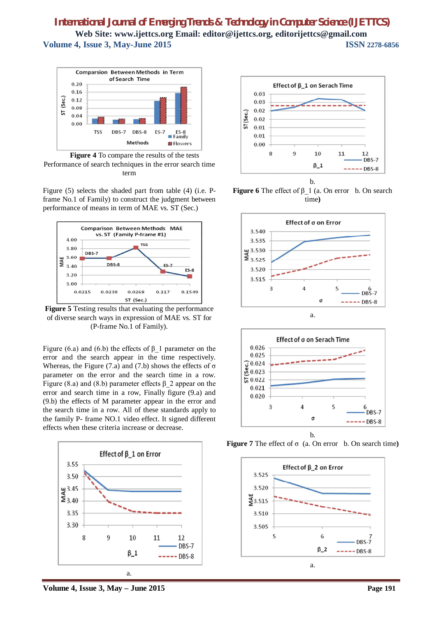

**Figure 4** To compare the results of the tests Performance of search techniques in the error search time term

Figure (5) selects the shaded part from table (4) (i.e. Pframe No.1 of Family) to construct the judgment between performance of means in term of MAE vs. ST (Sec.)



**Figure 5** Testing results that evaluating the performance of diverse search ways in expression of MAE vs. ST for (P-frame No.1 of Family).

Figure (6.a) and (6.b) the effects of  $\beta$  1 parameter on the error and the search appear in the time respectively. Whereas, the Figure (7.a) and (7.b) shows the effects of  $\sigma$ parameter on the error and the search time in a row. Figure (8.a) and (8.b) parameter effects  $\beta$  2 appear on the error and search time in a row, Finally figure (9.a) and (9.b) the effects of M parameter appear in the error and the search time in a row. All of these standards apply to the family P- frame NO.1 video effect. It signed different effects when these criteria increase or decrease.





**Figure 6** The effect of β\_1 (a. On error b. On search time**)**





**Figure 7** The effect of σ (a. On error b. On search time**)**



**Volume 4, Issue 3, May – June 2015 Page 191**